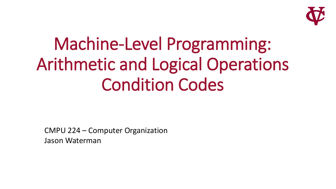

# Machine-Level Programming: Arithmetic and Logical Operations Condition Codes

CMPU 224 – Computer Organization Jason Waterman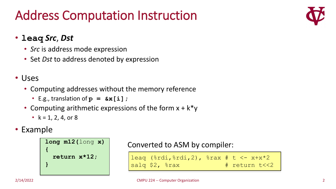## Address Computation Instruction

#### • **leaq** *Src*, *Dst*

- *Src* is address mode expression
- Set *Dst* to address denoted by expression

#### • Uses

- Computing addresses without the memory reference
	- E.g., translation of  $p = \&x[i]$ ;
- Computing arithmetic expressions of the form  $x + k^*y$ 
	- $k = 1, 2, 4,$  or 8

#### • Example

```
long m12(long x)
{
  return x*12;
}
```
Converted to ASM by compiler:

leaq  $(\frac{1}{2}, \frac{1}{2}, \frac{1}{2})$ ,  $\frac{1}{2}$  ax # t <- x+x\*2 salq \$2, %rax # return t<<2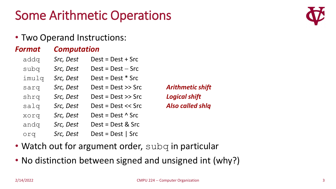### Some Arithmetic Operations

#### • Two Operand Instructions:

#### *Format Computation*

| addq  | Src, Dest | $Dest = Dest + src$      |                         |
|-------|-----------|--------------------------|-------------------------|
| subq  | Src, Dest | $Dest = Dest - src$      |                         |
| imulq | Src, Dest | $Dest = Dest * src$      |                         |
| sarq  | Src, Dest | $Dest = Dest >>$ Src     | <b>Arithmetic shift</b> |
| shrq  | Src, Dest | $Dest = Dest >>$ Src     | <b>Logical shift</b>    |
| salq  | Src, Dest | $Dest = Dest << Src$     | <b>Also called shlq</b> |
| xorq  | Src, Dest | Dest = Dest $\wedge$ Src |                         |
| andq  | Src, Dest | $Dest = Dest &$ Src      |                         |
| orq   | Src, Dest | $Dest = Dest  $ Src      |                         |

• Watch out for argument order, subq in particular

• No distinction between signed and unsigned int (why?)

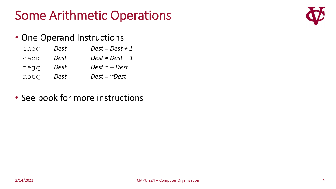### Some Arithmetic Operations

#### • One Operand Instructions

- $i$ ncq *Dest Dest* = *Dest* + 1
- $\text{decq}$  *Dest Dest* = *Dest* 1
- negq *Dest Dest =* − *Dest*
- notq *Dest Dest = ~Dest*
- See book for more instructions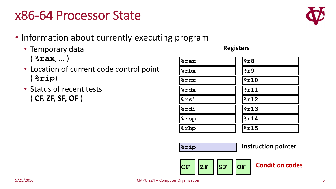### x86-64 Processor State

- Information about currently executing program
	- Temporary data ( **%rax**, … )
	- Location of current code control point ( **%rip**)
	- Status of recent tests ( **CF, ZF, SF, OF** )

#### **%rsp %r8 %r9 %r10 %r11 %r12 %r13 %r14 %r15 %rax %rbx %rcx %rdx %rsi %rdi %rbp**

**Registers**

**%rip**

**Instruction pointer**



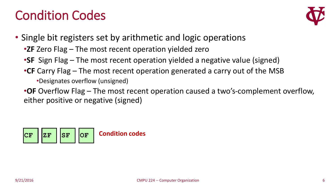### Condition Codes



• Single bit registers set by arithmetic and logic operations

- •**ZF** Zero Flag The most recent operation yielded zero
- •**SF** Sign Flag The most recent operation yielded a negative value (signed)
- •**CF** Carry Flag The most recent operation generated a carry out of the MSB

•Designates overflow (unsigned)

•**OF** Overflow Flag – The most recent operation caused a two's-complement overflow, either positive or negative (signed)

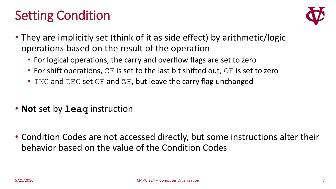### Setting Condition



- They are implicitly set (think of it as side effect) by arithmetic/logic operations based on the result of the operation
	- For logical operations, the carry and overflow flags are set to zero
	- For shift operations,  $CF$  is set to the last bit shifted out,  $OF$  is set to zero
	- INC and DEC set OF and ZF, but leave the carry flag unchanged
- **Not** set by **leaq** instruction
- Condition Codes are not accessed directly, but some instructions alter their behavior based on the value of the Condition Codes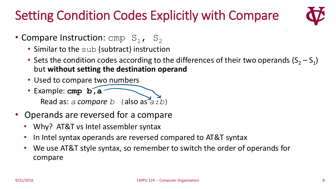## Setting Condition Codes Explicitly with Compare



- Compare Instruction:  $cmp S<sub>1</sub>, S<sub>2</sub>$ 
	- Similar to the sub (subtract) instruction
	- Sets the condition codes according to the differences of their two operands  $(S_2 S_1)$ but **without setting the destination operand**
	- Used to compare two numbers
	- Example: **cmp b,a**

Read as: *a compare b* (also as *a:b*)

- Operands are reversed for a compare
	- Why? AT&T vs Intel assembler syntax
	- In Intel syntax operands are reversed compared to AT&T syntax
	- We use AT&T style syntax, so remember to switch the order of operands for compare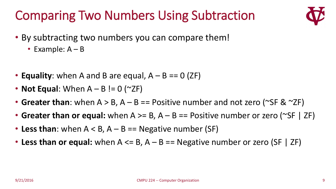# Comparing Two Numbers Using Subtraction



- By subtracting two numbers you can compare them!
	- Example: A B
- **Equality**: when A and B are equal,  $A B == 0$  (ZF)
- **Not Equal:** When  $A B$  != 0 ( $\sim$ ZF)
- Greater than: when A > B, A B = Positive number and not zero (~SF & ~ZF)
- **Greater than or equal:** when A >= B, A B == Positive number or zero (~SF | ZF)
- Less than: when  $A < B$ ,  $A B ==$  Negative number (SF)
- Less than or equal: when A <= B, A B == Negative number or zero (SF | ZF)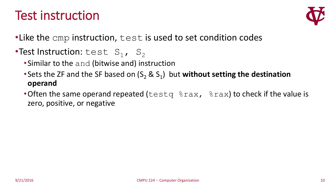### Test instruction



- •Like the cmp instruction, test is used to set condition codes
- •Test Instruction:  $test S_1, S_2$ 
	- •Similar to the and (bitwise and) instruction
	- Sets the ZF and the SF based on  $(S_2 \& S_1)$  but **without setting the destination operand**
	- Often the same operand repeated (testq  $\frac{1}{2}$ rax,  $\frac{2}{3}$ rax) to check if the value is zero, positive, or negative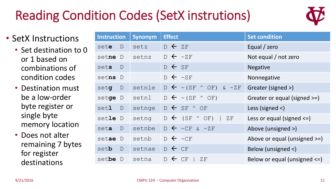# Reading Condition Codes (SetX instrutions)



- SetX Instructions
	- Set destination to 0 or 1 based on combinations of condition codes
	- Destination must be a low-order byte register or single byte memory location
	- Does not alter remaining 7 bytes for register destinations

| <b>Instruction</b> |        | Synonym | <b>Effect</b>                                | <b>Set condition</b>            |
|--------------------|--------|---------|----------------------------------------------|---------------------------------|
| sete D             |        | setz    | $D \leftarrow ZF$                            | Equal / zero                    |
| setne D            |        | setnz   | $D \leftarrow \sim ZF$                       | Not equal / not zero            |
| sets D             |        |         | $D \leftarrow SF$                            | <b>Negative</b>                 |
| setns D            |        |         | $D \leftarrow \sim$ SF                       | Nonnegative                     |
| setg D             |        | setnle  | $D \leftarrow \sim (SF \sim OF)$ & $\sim ZF$ | Greater (signed >)              |
| setge D            |        |         | setnl $D \leftarrow \sim (SF \land OF)$      | Greater or equal (signed >=)    |
| set1 D             |        | setnge  | $D \leftarrow$ SF $^{\wedge}$ OF             | Less (signed $\langle$ )        |
| setle D            |        | setng   | $D \leftarrow$ (SF $\wedge$ OF)   ZF         | Less or equal (signed $\le$ =)  |
| seta D             |        | setnbe  | $D \leftarrow \sim CF \& \sim ZF$            | Above (unsigned >)              |
| setae D            |        | setnb   | $D \leftarrow \sim CF$                       | Above or equal (unsigned $>=$ ) |
| setb               | $\Box$ | setnae  | $D \leftarrow CF$                            | Below (unsigned <)              |
| setbe D            |        | setna   | $D \leftarrow CF$<br>$\mathbb{R}$<br>ΖF      | Below or equal (unsigned <=)    |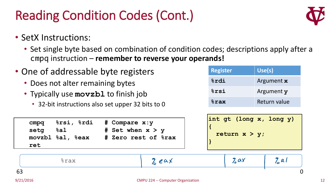# Reading Condition Codes (Cont.)

- SetX Instructions:
	- Set single byte based on combination of condition codes; descriptions apply after a cmpq instruction – **remember to reverse your operands!**
- One of addressable byte registers
	- Does not alter remaining bytes
	- Typically use **movzbl** to finish job
		- 32-bit instructions also set upper 32 bits to 0

| <b>Register</b> | Use(s)       |
|-----------------|--------------|
| <b>&amp;rdi</b> | Argument x   |
| %rsi            | Argument y   |
| $8$ rax         | Return value |

| cmpq<br>setg<br>ret | %rsi, %rdi<br>8a1<br>movzbl %al, %eax | # Compare x:y<br># Set when $x > y$<br># Zero rest of %rax | int gt (long x, long y)<br>return $x > y$ ; |
|---------------------|---------------------------------------|------------------------------------------------------------|---------------------------------------------|
|                     |                                       |                                                            |                                             |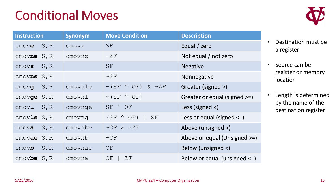### Conditional Moves

| <b>Instruction</b>                  | <b>Synonym</b> | <b>Move Condition</b>                  | <b>Description</b>                |
|-------------------------------------|----------------|----------------------------------------|-----------------------------------|
| S, R<br>$CMOV\mathbf{e}$            | CMOVZ          | ZF                                     | Equal / zero                      |
| cmovne S, R                         | cmovnz         | $\sim$ Z F                             | Not equal / not zero              |
| $S$ , $R$<br>CMOVS                  |                | <b>SF</b>                              | <b>Negative</b>                   |
| $S$ , $R$<br>cmovns                 |                | $\sim$ SF                              | Nonnegative                       |
| $S$ , $R$<br>CMOVQ                  | cmovnle        | $\sim$ (SF $\land$ OF)<br>$\& \sim ZF$ | Greater (signed >)                |
| $cmov$ ge $S$ , $R$                 | cmovnl         | $\sim$ (SF $\land$ OF)                 | Greater or equal (signed >=)      |
| $S$ , $R$<br>$\text{cmov}$ <b>l</b> | cmovnge        | SF ^ OF                                | Less (signed $\langle$ )          |
| cmovle $S, R$                       | cmovng         | $(SF \wedge OF)$<br>ΖF                 | Less or equal (signed $\le$ =)    |
| $S$ , $R$<br>$cmov$ a               | cmovnbe        | $\sim$ CF & $\sim$ ZF                  | Above (unsigned >)                |
| cmovae S, R                         | cmovnb         | $\sim$ CF                              | Above or equal (Unsigned >=)      |
| S, R<br>$\mathsf{cmov}$ b           | cmovnae        | CF                                     | Below (unsigned <)                |
| $cmov$ be $S, R$                    | cmovna         | CF<br>ZF                               | Below or equal (unsigned $\leq$ ) |

- Destination must be a register
- Source can be register or memory location
- Length is determined by the name of the destination register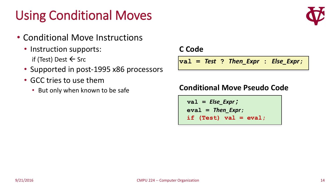## Using Conditional Moves

- Conditional Move Instructions
	- Instruction supports: if (Test) Dest  $\leftarrow$  Src
	- Supported in post-1995 x86 processors
	- GCC tries to use them
		- But only when known to be safe

#### **C Code**

**val =** *Test* **?** *Then\_Expr* **:** *Else\_Expr***;**

#### **Conditional Move Pseudo Code**

**val =** *Else\_Expr***; eval =** *Then\_Expr***; if (Test) val = eval;**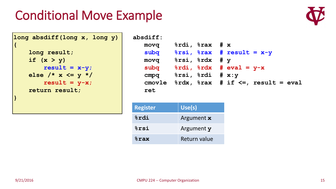### Conditional Move Example

```
long absdiff(long x, long y)
{
   long result;
```

```
if (x > y)
    result = x-y;else /* x <= y */
    result = y-x;return result;
```

```
absdiff:
  movq %rdi, %rax # x
  subq %rsi, %rax # result = x-y
  movq %rsi, %rdx # y
  subq 8rdi, 8rdx \# eval = y-xcmpq %rsi, %rdi # x:y
  cmovle %rdx, %rax # if <=, result = eval
  ret
```

| <b>Register</b> | Use(s)       |
|-----------------|--------------|
| <b>&amp;rdi</b> | Argument x   |
| <b>&amp;rsi</b> | Argument y   |
| $8$ rax         | Return value |



**}**